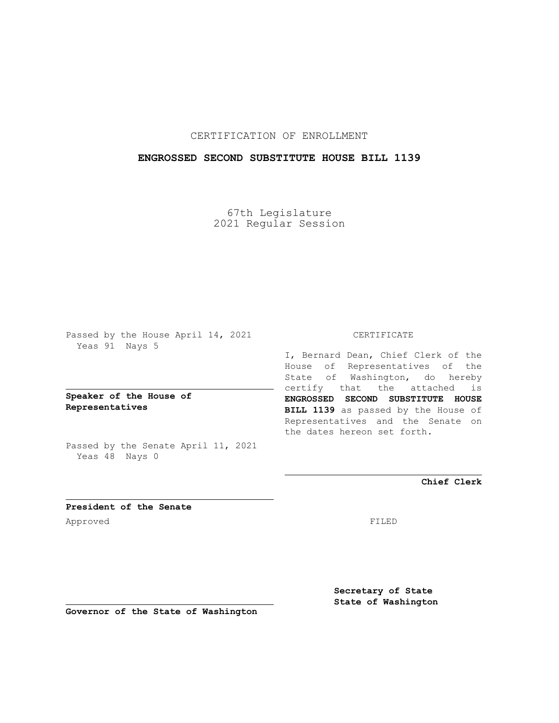## CERTIFICATION OF ENROLLMENT

### **ENGROSSED SECOND SUBSTITUTE HOUSE BILL 1139**

67th Legislature 2021 Regular Session

Passed by the House April 14, 2021 Yeas 91 Nays 5

**Speaker of the House of Representatives**

Passed by the Senate April 11, 2021 Yeas 48 Nays 0

#### CERTIFICATE

I, Bernard Dean, Chief Clerk of the House of Representatives of the State of Washington, do hereby certify that the attached is **ENGROSSED SECOND SUBSTITUTE HOUSE BILL 1139** as passed by the House of Representatives and the Senate on the dates hereon set forth.

**Chief Clerk**

**President of the Senate** Approved FILED

**Secretary of State State of Washington**

**Governor of the State of Washington**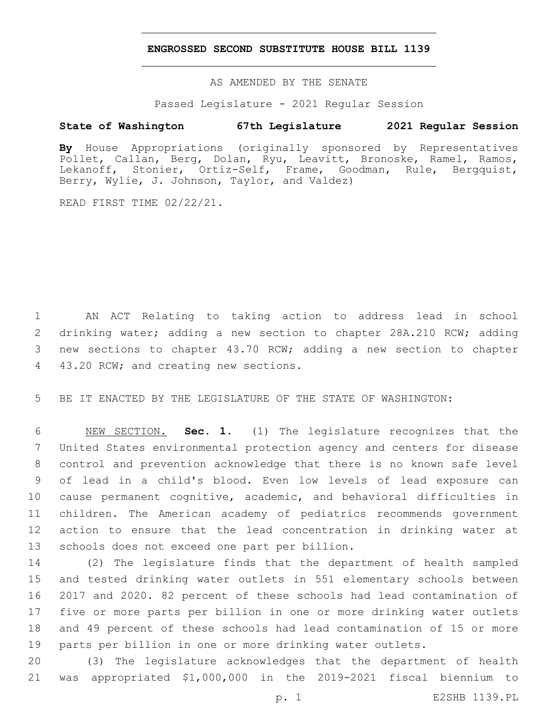### **ENGROSSED SECOND SUBSTITUTE HOUSE BILL 1139**

AS AMENDED BY THE SENATE

Passed Legislature - 2021 Regular Session

# **State of Washington 67th Legislature 2021 Regular Session**

**By** House Appropriations (originally sponsored by Representatives Pollet, Callan, Berg, Dolan, Ryu, Leavitt, Bronoske, Ramel, Ramos, Lekanoff, Stonier, Ortiz-Self, Frame, Goodman, Rule, Bergquist, Berry, Wylie, J. Johnson, Taylor, and Valdez)

READ FIRST TIME 02/22/21.

 AN ACT Relating to taking action to address lead in school drinking water; adding a new section to chapter 28A.210 RCW; adding new sections to chapter 43.70 RCW; adding a new section to chapter 4 43.20 RCW; and creating new sections.

BE IT ENACTED BY THE LEGISLATURE OF THE STATE OF WASHINGTON:

 NEW SECTION. **Sec. 1.** (1) The legislature recognizes that the United States environmental protection agency and centers for disease control and prevention acknowledge that there is no known safe level of lead in a child's blood. Even low levels of lead exposure can cause permanent cognitive, academic, and behavioral difficulties in children. The American academy of pediatrics recommends government action to ensure that the lead concentration in drinking water at schools does not exceed one part per billion.

 (2) The legislature finds that the department of health sampled and tested drinking water outlets in 551 elementary schools between 2017 and 2020. 82 percent of these schools had lead contamination of five or more parts per billion in one or more drinking water outlets and 49 percent of these schools had lead contamination of 15 or more parts per billion in one or more drinking water outlets.

 (3) The legislature acknowledges that the department of health was appropriated \$1,000,000 in the 2019-2021 fiscal biennium to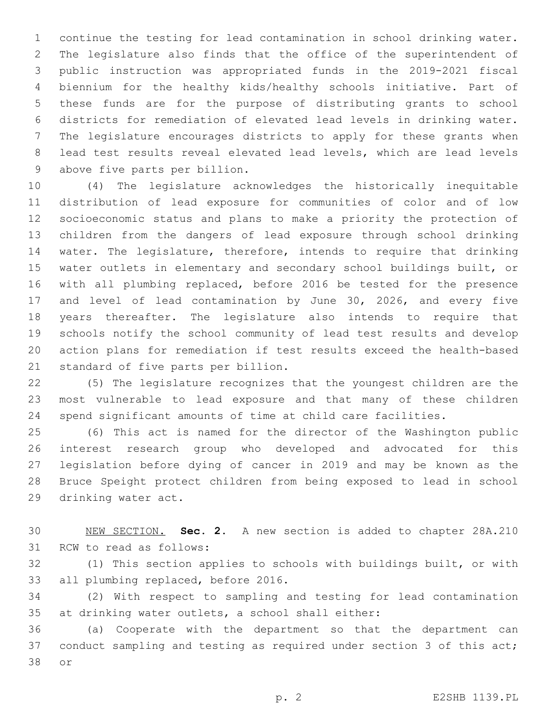continue the testing for lead contamination in school drinking water. The legislature also finds that the office of the superintendent of public instruction was appropriated funds in the 2019-2021 fiscal biennium for the healthy kids/healthy schools initiative. Part of these funds are for the purpose of distributing grants to school districts for remediation of elevated lead levels in drinking water. The legislature encourages districts to apply for these grants when lead test results reveal elevated lead levels, which are lead levels 9 above five parts per billion.

 (4) The legislature acknowledges the historically inequitable distribution of lead exposure for communities of color and of low socioeconomic status and plans to make a priority the protection of children from the dangers of lead exposure through school drinking water. The legislature, therefore, intends to require that drinking water outlets in elementary and secondary school buildings built, or with all plumbing replaced, before 2016 be tested for the presence and level of lead contamination by June 30, 2026, and every five years thereafter. The legislature also intends to require that schools notify the school community of lead test results and develop action plans for remediation if test results exceed the health-based 21 standard of five parts per billion.

 (5) The legislature recognizes that the youngest children are the most vulnerable to lead exposure and that many of these children spend significant amounts of time at child care facilities.

 (6) This act is named for the director of the Washington public interest research group who developed and advocated for this legislation before dying of cancer in 2019 and may be known as the Bruce Speight protect children from being exposed to lead in school 29 drinking water act.

 NEW SECTION. **Sec. 2.** A new section is added to chapter 28A.210 31 RCW to read as follows:

 (1) This section applies to schools with buildings built, or with 33 all plumbing replaced, before 2016.

 (2) With respect to sampling and testing for lead contamination 35 at drinking water outlets, a school shall either:

 (a) Cooperate with the department so that the department can 37 conduct sampling and testing as required under section 3 of this act; 38 or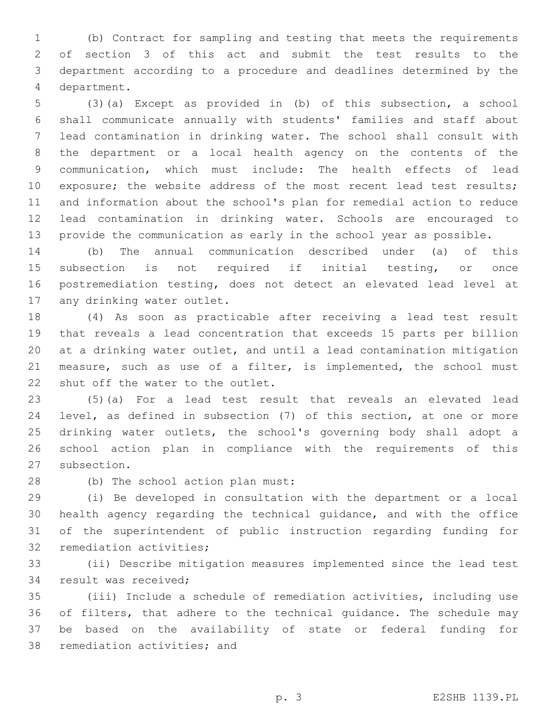(b) Contract for sampling and testing that meets the requirements of section 3 of this act and submit the test results to the department according to a procedure and deadlines determined by the department.4

 (3)(a) Except as provided in (b) of this subsection, a school shall communicate annually with students' families and staff about lead contamination in drinking water. The school shall consult with the department or a local health agency on the contents of the communication, which must include: The health effects of lead 10 exposure; the website address of the most recent lead test results; and information about the school's plan for remedial action to reduce lead contamination in drinking water. Schools are encouraged to provide the communication as early in the school year as possible.

 (b) The annual communication described under (a) of this subsection is not required if initial testing, or once postremediation testing, does not detect an elevated lead level at 17 any drinking water outlet.

 (4) As soon as practicable after receiving a lead test result that reveals a lead concentration that exceeds 15 parts per billion at a drinking water outlet, and until a lead contamination mitigation measure, such as use of a filter, is implemented, the school must 22 shut off the water to the outlet.

 (5)(a) For a lead test result that reveals an elevated lead level, as defined in subsection (7) of this section, at one or more drinking water outlets, the school's governing body shall adopt a school action plan in compliance with the requirements of this 27 subsection.

28 (b) The school action plan must:

 (i) Be developed in consultation with the department or a local health agency regarding the technical guidance, and with the office of the superintendent of public instruction regarding funding for 32 remediation activities;

 (ii) Describe mitigation measures implemented since the lead test 34 result was received;

 (iii) Include a schedule of remediation activities, including use of filters, that adhere to the technical guidance. The schedule may be based on the availability of state or federal funding for 38 remediation activities; and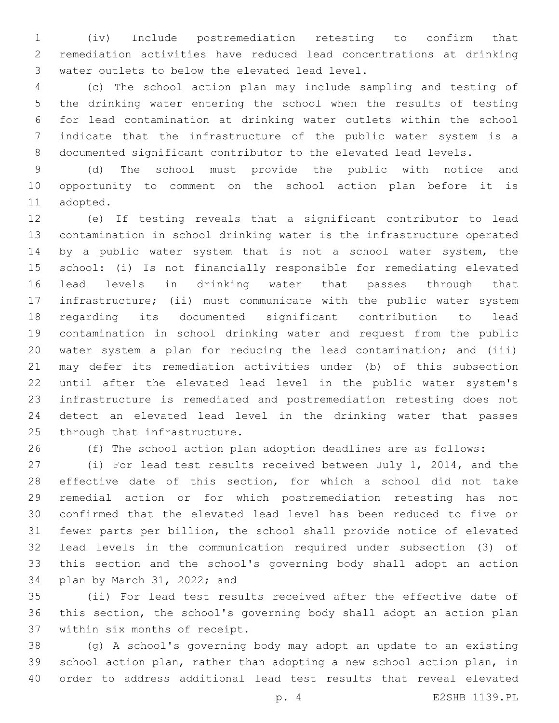(iv) Include postremediation retesting to confirm that remediation activities have reduced lead concentrations at drinking 3 water outlets to below the elevated lead level.

 (c) The school action plan may include sampling and testing of the drinking water entering the school when the results of testing for lead contamination at drinking water outlets within the school indicate that the infrastructure of the public water system is a documented significant contributor to the elevated lead levels.

 (d) The school must provide the public with notice and opportunity to comment on the school action plan before it is 11 adopted.

 (e) If testing reveals that a significant contributor to lead contamination in school drinking water is the infrastructure operated 14 by a public water system that is not a school water system, the school: (i) Is not financially responsible for remediating elevated lead levels in drinking water that passes through that infrastructure; (ii) must communicate with the public water system regarding its documented significant contribution to lead contamination in school drinking water and request from the public water system a plan for reducing the lead contamination; and (iii) may defer its remediation activities under (b) of this subsection until after the elevated lead level in the public water system's infrastructure is remediated and postremediation retesting does not detect an elevated lead level in the drinking water that passes 25 through that infrastructure.

(f) The school action plan adoption deadlines are as follows:

 (i) For lead test results received between July 1, 2014, and the effective date of this section, for which a school did not take remedial action or for which postremediation retesting has not confirmed that the elevated lead level has been reduced to five or fewer parts per billion, the school shall provide notice of elevated lead levels in the communication required under subsection (3) of this section and the school's governing body shall adopt an action 34 plan by March 31, 2022; and

 (ii) For lead test results received after the effective date of this section, the school's governing body shall adopt an action plan 37 within six months of receipt.

 (g) A school's governing body may adopt an update to an existing school action plan, rather than adopting a new school action plan, in order to address additional lead test results that reveal elevated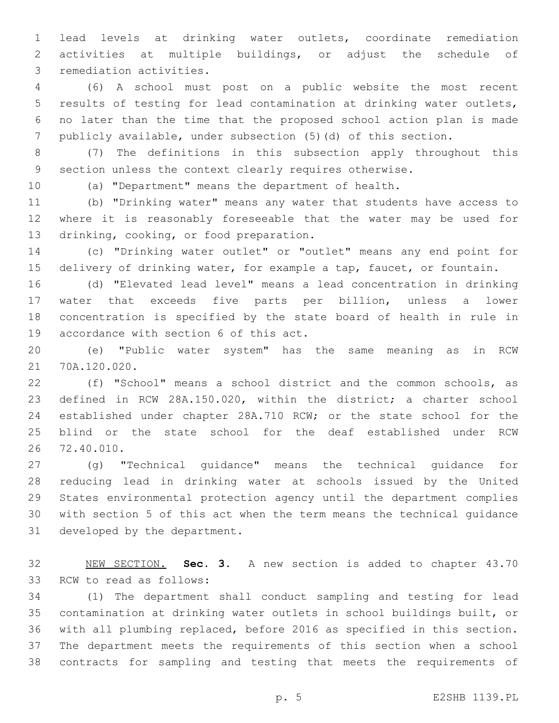lead levels at drinking water outlets, coordinate remediation activities at multiple buildings, or adjust the schedule of 3 remediation activities.

 (6) A school must post on a public website the most recent results of testing for lead contamination at drinking water outlets, no later than the time that the proposed school action plan is made publicly available, under subsection (5)(d) of this section.

 (7) The definitions in this subsection apply throughout this section unless the context clearly requires otherwise.

(a) "Department" means the department of health.

 (b) "Drinking water" means any water that students have access to where it is reasonably foreseeable that the water may be used for 13 drinking, cooking, or food preparation.

 (c) "Drinking water outlet" or "outlet" means any end point for delivery of drinking water, for example a tap, faucet, or fountain.

 (d) "Elevated lead level" means a lead concentration in drinking water that exceeds five parts per billion, unless a lower concentration is specified by the state board of health in rule in 19 accordance with section 6 of this act.

 (e) "Public water system" has the same meaning as in RCW 21 70A.120.020.

 (f) "School" means a school district and the common schools, as defined in RCW 28A.150.020, within the district; a charter school established under chapter 28A.710 RCW; or the state school for the blind or the state school for the deaf established under RCW 26 72.40.010.

 (g) "Technical guidance" means the technical guidance for reducing lead in drinking water at schools issued by the United States environmental protection agency until the department complies with section 5 of this act when the term means the technical guidance 31 developed by the department.

 NEW SECTION. **Sec. 3.** A new section is added to chapter 43.70 33 RCW to read as follows:

 (1) The department shall conduct sampling and testing for lead contamination at drinking water outlets in school buildings built, or with all plumbing replaced, before 2016 as specified in this section. The department meets the requirements of this section when a school contracts for sampling and testing that meets the requirements of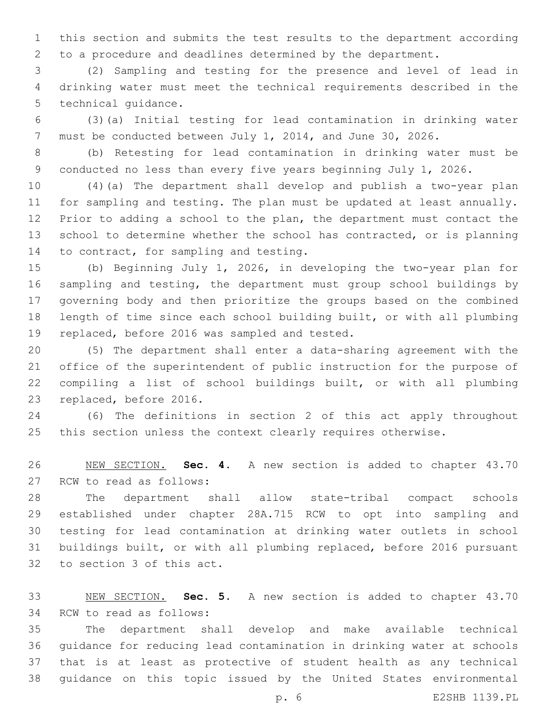this section and submits the test results to the department according to a procedure and deadlines determined by the department.

 (2) Sampling and testing for the presence and level of lead in drinking water must meet the technical requirements described in the 5 technical quidance.

 (3)(a) Initial testing for lead contamination in drinking water must be conducted between July 1, 2014, and June 30, 2026.

 (b) Retesting for lead contamination in drinking water must be conducted no less than every five years beginning July 1, 2026.

 (4)(a) The department shall develop and publish a two-year plan for sampling and testing. The plan must be updated at least annually. Prior to adding a school to the plan, the department must contact the school to determine whether the school has contracted, or is planning 14 to contract, for sampling and testing.

 (b) Beginning July 1, 2026, in developing the two-year plan for sampling and testing, the department must group school buildings by governing body and then prioritize the groups based on the combined length of time since each school building built, or with all plumbing 19 replaced, before 2016 was sampled and tested.

 (5) The department shall enter a data-sharing agreement with the office of the superintendent of public instruction for the purpose of compiling a list of school buildings built, or with all plumbing 23 replaced, before 2016.

 (6) The definitions in section 2 of this act apply throughout 25 this section unless the context clearly requires otherwise.

 NEW SECTION. **Sec. 4.** A new section is added to chapter 43.70 27 RCW to read as follows:

 The department shall allow state-tribal compact schools established under chapter 28A.715 RCW to opt into sampling and testing for lead contamination at drinking water outlets in school buildings built, or with all plumbing replaced, before 2016 pursuant 32 to section 3 of this act.

 NEW SECTION. **Sec. 5.** A new section is added to chapter 43.70 34 RCW to read as follows:

 The department shall develop and make available technical guidance for reducing lead contamination in drinking water at schools that is at least as protective of student health as any technical guidance on this topic issued by the United States environmental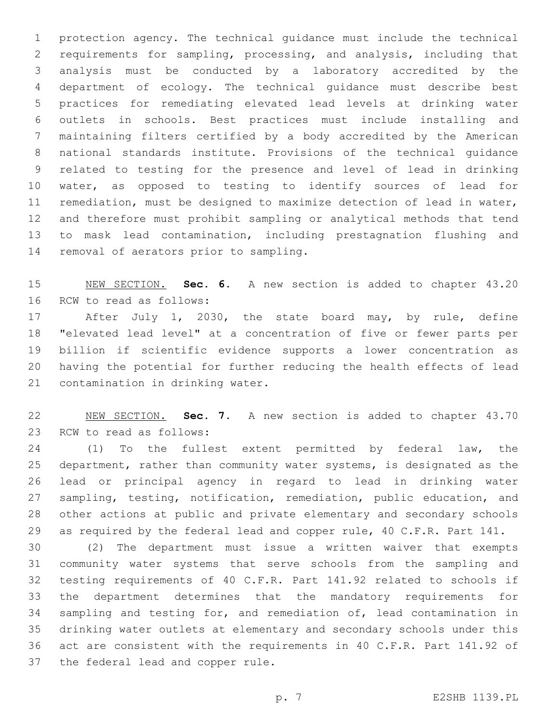protection agency. The technical guidance must include the technical requirements for sampling, processing, and analysis, including that analysis must be conducted by a laboratory accredited by the department of ecology. The technical guidance must describe best practices for remediating elevated lead levels at drinking water outlets in schools. Best practices must include installing and maintaining filters certified by a body accredited by the American national standards institute. Provisions of the technical guidance related to testing for the presence and level of lead in drinking water, as opposed to testing to identify sources of lead for remediation, must be designed to maximize detection of lead in water, and therefore must prohibit sampling or analytical methods that tend to mask lead contamination, including prestagnation flushing and 14 removal of aerators prior to sampling.

 NEW SECTION. **Sec. 6.** A new section is added to chapter 43.20 16 RCW to read as follows:

17 After July 1, 2030, the state board may, by rule, define "elevated lead level" at a concentration of five or fewer parts per billion if scientific evidence supports a lower concentration as having the potential for further reducing the health effects of lead 21 contamination in drinking water.

 NEW SECTION. **Sec. 7.** A new section is added to chapter 43.70 23 RCW to read as follows:

 (1) To the fullest extent permitted by federal law, the department, rather than community water systems, is designated as the lead or principal agency in regard to lead in drinking water sampling, testing, notification, remediation, public education, and other actions at public and private elementary and secondary schools 29 as required by the federal lead and copper rule, 40 C.F.R. Part 141.

 (2) The department must issue a written waiver that exempts community water systems that serve schools from the sampling and testing requirements of 40 C.F.R. Part 141.92 related to schools if the department determines that the mandatory requirements for sampling and testing for, and remediation of, lead contamination in drinking water outlets at elementary and secondary schools under this act are consistent with the requirements in 40 C.F.R. Part 141.92 of 37 the federal lead and copper rule.